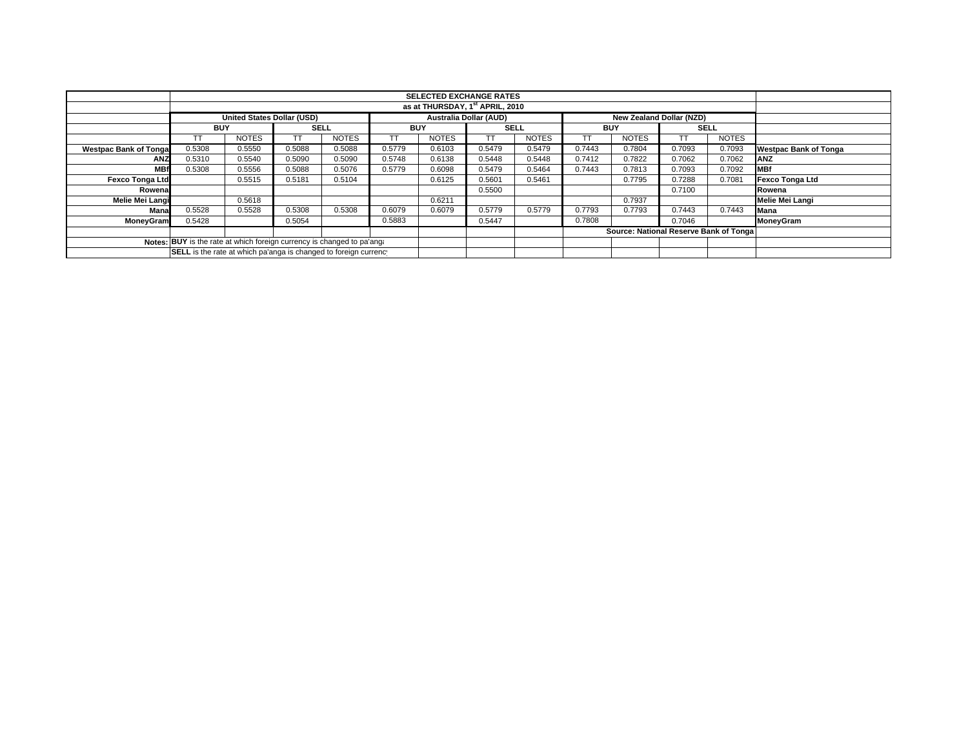|                               | <b>SELECTED EXCHANGE RATES</b>                                         |                                   |             |              |                               |              |             |              |            |                                        |             |              |                              |
|-------------------------------|------------------------------------------------------------------------|-----------------------------------|-------------|--------------|-------------------------------|--------------|-------------|--------------|------------|----------------------------------------|-------------|--------------|------------------------------|
|                               | as at THURSDAY, 1st APRIL, 2010                                        |                                   |             |              |                               |              |             |              |            |                                        |             |              |                              |
|                               |                                                                        | <b>United States Dollar (USD)</b> |             |              | <b>Australia Dollar (AUD)</b> |              |             |              |            | New Zealand Dollar (NZD)               |             |              |                              |
|                               | <b>BUY</b>                                                             |                                   | <b>SELL</b> |              | <b>BUY</b>                    |              | <b>SELL</b> |              | <b>BUY</b> |                                        | <b>SELL</b> |              |                              |
|                               | TΤ                                                                     | <b>NOTES</b>                      | TT.         | <b>NOTES</b> | TT                            | <b>NOTES</b> | TT.         | <b>NOTES</b> |            | <b>NOTES</b>                           |             | <b>NOTES</b> |                              |
| <b>Westpac Bank of Tongal</b> | 0.5308                                                                 | 0.5550                            | 0.5088      | 0.5088       | 0.5779                        | 0.6103       | 0.5479      | 0.5479       | 0.7443     | 0.7804                                 | 0.7093      | 0.7093       | <b>Westpac Bank of Tonga</b> |
| <b>ANZ</b>                    | 0.5310                                                                 | 0.5540                            | 0.5090      | 0.5090       | 0.5748                        | 0.6138       | 0.5448      | 0.5448       | 0.7412     | 0.7822                                 | 0.7062      | 0.7062       | <b>ANZ</b>                   |
| <b>MBf</b>                    | 0.5308                                                                 | 0.5556                            | 0.5088      | 0.5076       | 0.5779                        | 0.6098       | 0.5479      | 0.5464       | 0.7443     | 0.7813                                 | 0.7093      | 0.7092       | <b>MBf</b>                   |
| <b>Fexco Tonga Ltd</b>        |                                                                        | 0.5515                            | 0.5181      | 0.5104       |                               | 0.6125       | 0.5601      | 0.5461       |            | 0.7795                                 | 0.7288      | 0.7081       | Fexco Tonga Ltd              |
| Rowenal                       |                                                                        |                                   |             |              |                               |              | 0.5500      |              |            |                                        | 0.7100      |              | Rowena                       |
| Melie Mei Langi               |                                                                        | 0.5618                            |             |              |                               | 0.6211       |             |              |            | 0.7937                                 |             |              | Melie Mei Langi              |
| Mana                          | 0.5528                                                                 | 0.5528                            | 0.5308      | 0.5308       | 0.6079                        | 0.6079       | 0.5779      | 0.5779       | 0.7793     | 0.7793                                 | 0.7443      | 0.7443       | <b>Mana</b>                  |
| <b>MoneyGram</b>              | 0.5428                                                                 |                                   | 0.5054      |              | 0.5883                        |              | 0.5447      |              | 0.7808     |                                        | 0.7046      |              | MoneyGram                    |
|                               |                                                                        |                                   |             |              |                               |              |             |              |            | Source: National Reserve Bank of Tonga |             |              |                              |
|                               | Notes: BUY is the rate at which foreign currency is changed to pa'ang: |                                   |             |              |                               |              |             |              |            |                                        |             |              |                              |
|                               | SELL is the rate at which pa'anga is changed to foreign currency       |                                   |             |              |                               |              |             |              |            |                                        |             |              |                              |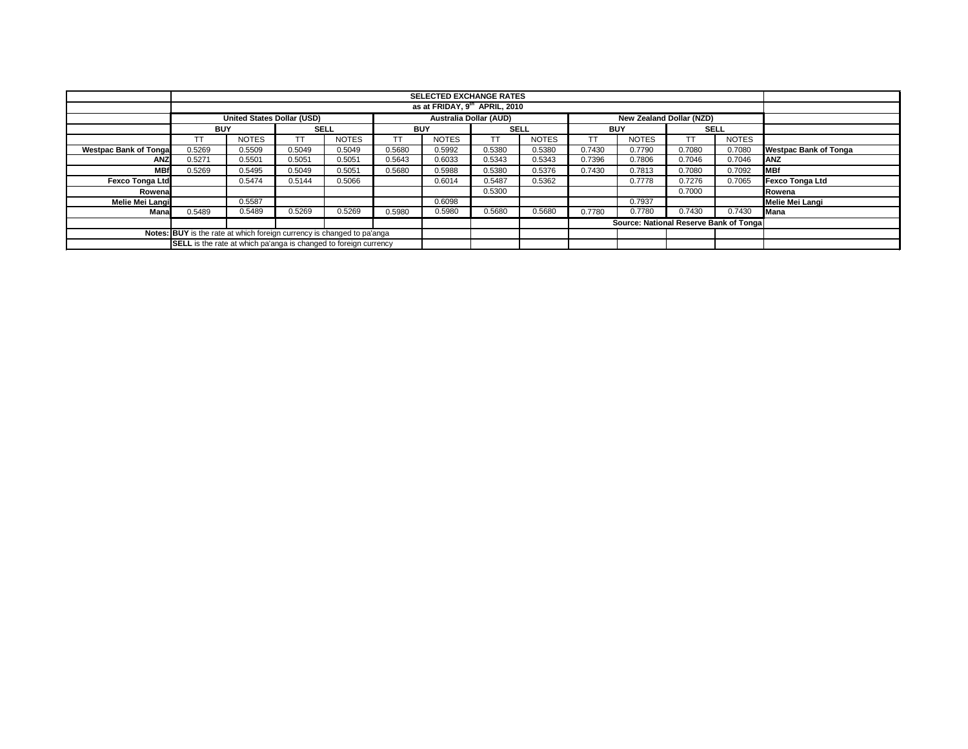|                                                                        | <b>SELECTED EXCHANGE RATES</b>                                          |                            |             |              |            |                               |             |              |                                        |                          |             |              |                              |
|------------------------------------------------------------------------|-------------------------------------------------------------------------|----------------------------|-------------|--------------|------------|-------------------------------|-------------|--------------|----------------------------------------|--------------------------|-------------|--------------|------------------------------|
|                                                                        | as at FRIDAY, 9 <sup>th</sup> APRIL, 2010                               |                            |             |              |            |                               |             |              |                                        |                          |             |              |                              |
|                                                                        |                                                                         | United States Dollar (USD) |             |              |            | <b>Australia Dollar (AUD)</b> |             |              |                                        | New Zealand Dollar (NZD) |             |              |                              |
|                                                                        | <b>BUY</b>                                                              |                            | <b>SELL</b> |              | <b>BUY</b> |                               | <b>SELL</b> |              | <b>BUY</b>                             |                          | <b>SELL</b> |              |                              |
|                                                                        | TT                                                                      | <b>NOTES</b>               |             | <b>NOTES</b> | <b>TT</b>  | <b>NOTES</b>                  | TΤ          | <b>NOTES</b> |                                        | <b>NOTES</b>             |             | <b>NOTES</b> |                              |
| <b>Westpac Bank of Tonga</b>                                           | 0.5269                                                                  | 0.5509                     | 0.5049      | 0.5049       | 0.5680     | 0.5992                        | 0.5380      | 0.5380       | 0.7430                                 | 0.7790                   | 0.7080      | 0.7080       | <b>Westpac Bank of Tonga</b> |
| <b>ANZ</b>                                                             | 0.5271                                                                  | 0.5501                     | 0.5051      | 0.5051       | 0.5643     | 0.6033                        | 0.5343      | 0.5343       | 0.7396                                 | 0.7806                   | 0.7046      | 0.7046       | ANZ                          |
| <b>MBf</b>                                                             | 0.5269                                                                  | 0.5495                     | 0.5049      | 0.5051       | 0.5680     | 0.5988                        | 0.5380      | 0.5376       | 0.7430                                 | 0.7813                   | 0.7080      | 0.7092       | <b>MBf</b>                   |
| <b>Fexco Tonga Ltd</b>                                                 |                                                                         | 0.5474                     | 0.5144      | 0.5066       |            | 0.6014                        | 0.5487      | 0.5362       |                                        | 0.7778                   | 0.7276      | 0.7065       | <b>Fexco Tonga Ltd</b>       |
| Rowena                                                                 |                                                                         |                            |             |              |            |                               | 0.5300      |              |                                        |                          | 0.7000      |              | Rowena                       |
| <b>Melie Mei Langi</b>                                                 |                                                                         | 0.5587                     |             |              |            | 0.6098                        |             |              |                                        | 0.7937                   |             |              | Melie Mei Langi              |
| Mana                                                                   | 0.5489                                                                  | 0.5489                     | 0.5269      | 0.5269       | 0.5980     | 0.5980                        | 0.5680      | 0.5680       | 0.7780                                 | 0.7780                   | 0.7430      | 0.7430       | Mana                         |
|                                                                        |                                                                         |                            |             |              |            |                               |             |              | Source: National Reserve Bank of Tonga |                          |             |              |                              |
| Notes: BUY is the rate at which foreign currency is changed to pa'anga |                                                                         |                            |             |              |            |                               |             |              |                                        |                          |             |              |                              |
|                                                                        | <b>SELL</b> is the rate at which pa'anga is changed to foreign currency |                            |             |              |            |                               |             |              |                                        |                          |             |              |                              |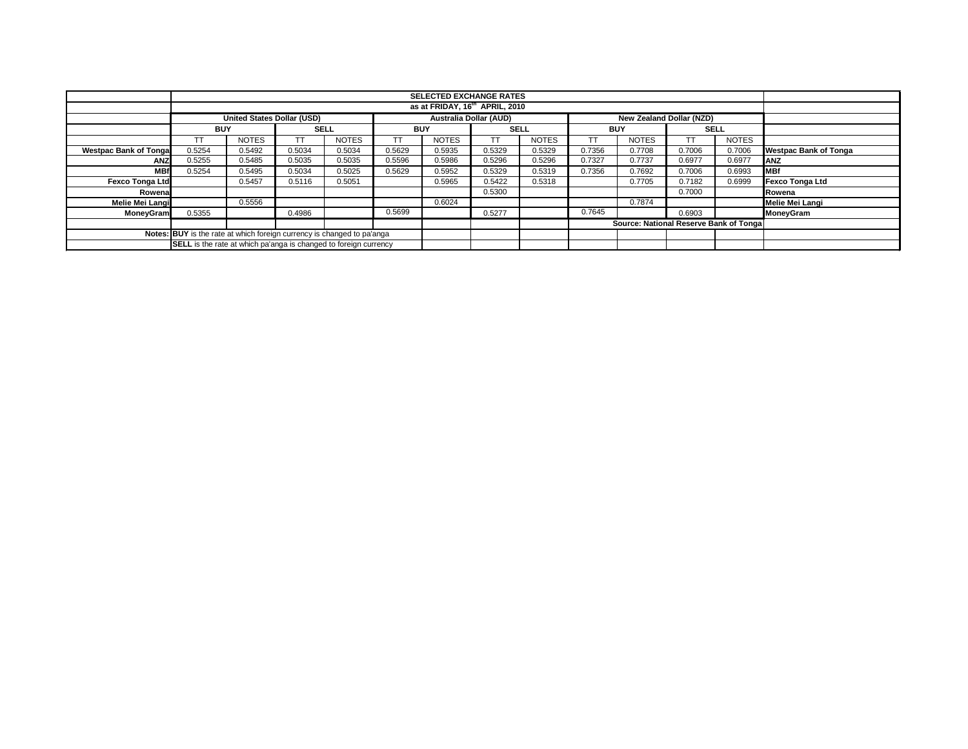|                                                                        | <b>SELECTED EXCHANGE RATES</b>                                          |                            |             |              |            |                        |             |              |            |                                        |             |              |                              |
|------------------------------------------------------------------------|-------------------------------------------------------------------------|----------------------------|-------------|--------------|------------|------------------------|-------------|--------------|------------|----------------------------------------|-------------|--------------|------------------------------|
|                                                                        | as at FRIDAY, 16 <sup>th</sup> APRIL, 2010                              |                            |             |              |            |                        |             |              |            |                                        |             |              |                              |
|                                                                        |                                                                         | United States Dollar (USD) |             |              |            | Australia Dollar (AUD) |             |              |            | New Zealand Dollar (NZD)               |             |              |                              |
|                                                                        | <b>BUY</b>                                                              |                            | <b>SELL</b> |              | <b>BUY</b> |                        | <b>SELL</b> |              | <b>BUY</b> |                                        | <b>SELL</b> |              |                              |
|                                                                        | ТΤ                                                                      | <b>NOTES</b>               |             | <b>NOTES</b> |            | <b>NOTES</b>           | TΤ          | <b>NOTES</b> |            | <b>NOTES</b>                           |             | <b>NOTES</b> |                              |
| <b>Westpac Bank of Tonga</b>                                           | 0.5254                                                                  | 0.5492                     | 0.5034      | 0.5034       | 0.5629     | 0.5935                 | 0.5329      | 0.5329       | 0.7356     | 0.7708                                 | 0.7006      | 0.7006       | <b>Westpac Bank of Tonga</b> |
| <b>ANZ</b>                                                             | 0.5255                                                                  | 0.5485                     | 0.5035      | 0.5035       | 0.5596     | 0.5986                 | 0.5296      | 0.5296       | 0.7327     | 0.7737                                 | 0.6977      | 0.6977       | <b>ANZ</b>                   |
| <b>MBf</b>                                                             | 0.5254                                                                  | 0.5495                     | 0.5034      | 0.5025       | 0.5629     | 0.5952                 | 0.5329      | 0.5319       | 0.7356     | 0.7692                                 | 0.7006      | 0.6993       | <b>MBf</b>                   |
| <b>Fexco Tonga Ltd</b>                                                 |                                                                         | 0.5457                     | 0.5116      | 0.5051       |            | 0.5965                 | 0.5422      | 0.5318       |            | 0.7705                                 | 0.7182      | 0.6999       | <b>Fexco Tonga Ltd</b>       |
| Rowenal                                                                |                                                                         |                            |             |              |            |                        | 0.5300      |              |            |                                        | 0.7000      |              | Rowena                       |
| Melie Mei Langi                                                        |                                                                         | 0.5556                     |             |              |            | 0.6024                 |             |              |            | 0.7874                                 |             |              | Melie Mei Langi              |
| <b>MoneyGram</b>                                                       | 0.5355                                                                  |                            | 0.4986      |              | 0.5699     |                        | 0.5277      |              | 0.7645     |                                        | 0.6903      |              | MoneyGram                    |
|                                                                        |                                                                         |                            |             |              |            |                        |             |              |            | Source: National Reserve Bank of Tonga |             |              |                              |
| Notes: BUY is the rate at which foreign currency is changed to pa'anga |                                                                         |                            |             |              |            |                        |             |              |            |                                        |             |              |                              |
|                                                                        | <b>SELL</b> is the rate at which pa'anga is changed to foreign currency |                            |             |              |            |                        |             |              |            |                                        |             |              |                              |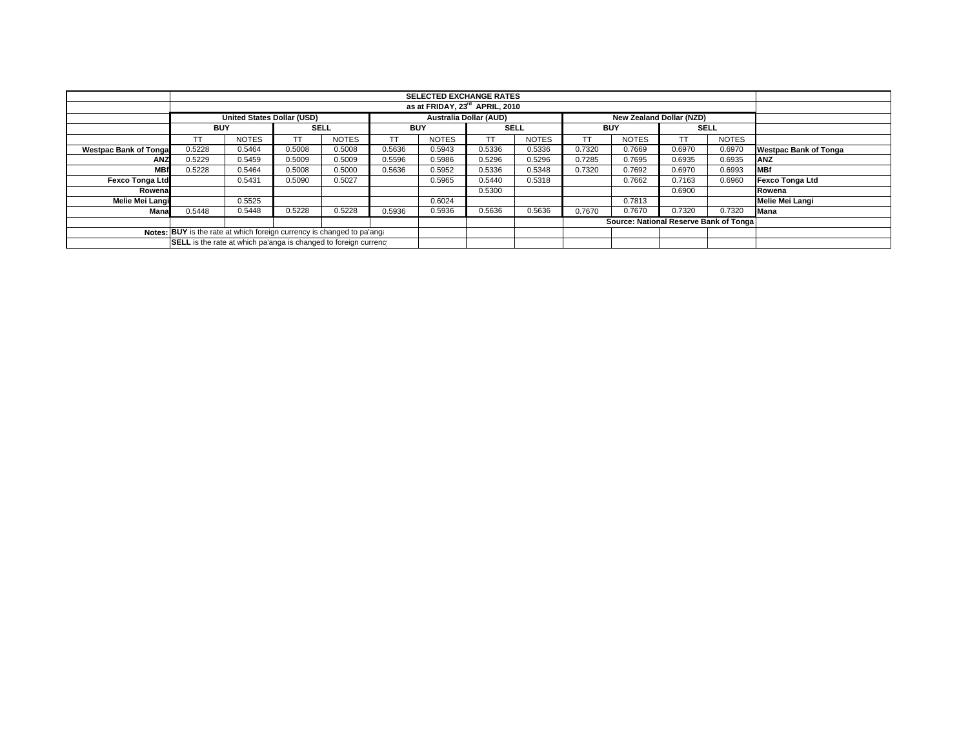|                                                                        | <b>SELECTED EXCHANGE RATES</b>    |              |             |              |            |                               |             |              |                                        |                                 |             |              |                              |  |  |  |
|------------------------------------------------------------------------|-----------------------------------|--------------|-------------|--------------|------------|-------------------------------|-------------|--------------|----------------------------------------|---------------------------------|-------------|--------------|------------------------------|--|--|--|
|                                                                        |                                   |              |             |              |            |                               |             |              |                                        |                                 |             |              |                              |  |  |  |
|                                                                        | as at FRIDAY, 23rd APRIL, 2010    |              |             |              |            |                               |             |              |                                        |                                 |             |              |                              |  |  |  |
|                                                                        | <b>United States Dollar (USD)</b> |              |             |              |            | <b>Australia Dollar (AUD)</b> |             |              |                                        | <b>New Zealand Dollar (NZD)</b> |             |              |                              |  |  |  |
|                                                                        | <b>BUY</b>                        |              | <b>SELL</b> |              | <b>BUY</b> |                               | <b>SELL</b> |              | <b>BUY</b>                             |                                 | <b>SELL</b> |              |                              |  |  |  |
|                                                                        |                                   | <b>NOTES</b> | T           | <b>NOTES</b> |            | <b>NOTES</b>                  | TΤ          | <b>NOTES</b> |                                        | <b>NOTES</b>                    |             | <b>NOTES</b> |                              |  |  |  |
| <b>Westpac Bank of Tonga</b>                                           | 0.5228                            | 0.5464       | 0.5008      | 0.5008       | 0.5636     | 0.5943                        | 0.5336      | 0.5336       | 0.7320                                 | 0.7669                          | 0.6970      | 0.6970       | <b>Westpac Bank of Tonga</b> |  |  |  |
| ANZ                                                                    | 0.5229                            | 0.5459       | 0.5009      | 0.5009       | 0.5596     | 0.5986                        | 0.5296      | 0.5296       | 0.7285                                 | 0.7695                          | 0.6935      | 0.6935       | <b>ANZ</b>                   |  |  |  |
| <b>MBf</b>                                                             | 0.5228                            | 0.5464       | 0.5008      | 0.5000       | 0.5636     | 0.5952                        | 0.5336      | 0.5348       | 0.7320                                 | 0.7692                          | 0.6970      | 0.6993       | <b>MBf</b>                   |  |  |  |
| <b>Fexco Tonga Ltd</b>                                                 |                                   | 0.5431       | 0.5090      | 0.5027       |            | 0.5965                        | 0.5440      | 0.5318       |                                        | 0.7662                          | 0.7163      | 0.6960       | Fexco Tonga Ltd              |  |  |  |
| Rowena                                                                 |                                   |              |             |              |            |                               | 0.5300      |              |                                        |                                 | 0.6900      |              | Rowena                       |  |  |  |
| Melie Mei Langi                                                        |                                   | 0.5525       |             |              |            | 0.6024                        |             |              |                                        | 0.7813                          |             |              | Melie Mei Langi              |  |  |  |
| Mana                                                                   | 0.5448                            | 0.5448       | 0.5228      | 0.5228       | 0.5936     | 0.5936                        | 0.5636      | 0.5636       | 0.7670                                 | 0.7670                          | 0.7320      | 0.7320       | <b>Mana</b>                  |  |  |  |
|                                                                        |                                   |              |             |              |            |                               |             |              | Source: National Reserve Bank of Tonga |                                 |             |              |                              |  |  |  |
| Notes: BUY is the rate at which foreign currency is changed to pa'ang. |                                   |              |             |              |            |                               |             |              |                                        |                                 |             |              |                              |  |  |  |
| SELL is the rate at which pa'anga is changed to foreign currency       |                                   |              |             |              |            |                               |             |              |                                        |                                 |             |              |                              |  |  |  |